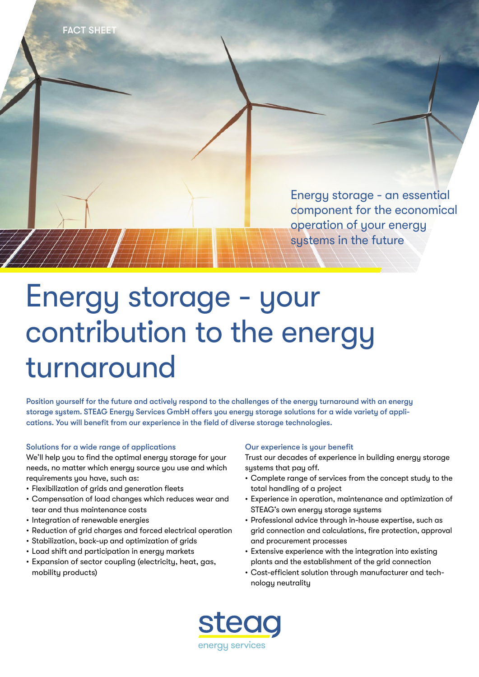

# Energy storage - your contribution to the energy turnaround

Position yourself for the future and actively respond to the challenges of the energy turnaround with an energy storage system. STEAG Energy Services GmbH offers you energy storage solutions for a wide variety of applications. You will benefit from our experience in the field of diverse storage technologies.

## Solutions for a wide range of applications

We'll help you to find the optimal energy storage for your needs, no matter which energy source you use and which requirements you have, such as:

- Flexibilization of grids and generation fleets
- Compensation of load changes which reduces wear and tear and thus maintenance costs
- Integration of renewable energies
- Reduction of grid charges and forced electrical operation
- Stabilization, back-up and optimization of grids
- Load shift and participation in energy markets
- Expansion of sector coupling (electricity, heat, gas, mobility products)

### Our experience is your benefit

Trust our decades of experience in building energy storage systems that pay off.

- Complete range of services from the concept study to the total handling of a project
- Experience in operation, maintenance and optimization of STEAG's own energy storage systems
- Professional advice through in-house expertise, such as grid connection and calculations, fire protection, approval and procurement processes
- Extensive experience with the integration into existing plants and the establishment of the grid connection
- Cost-efficient solution through manufacturer and technology neutrality